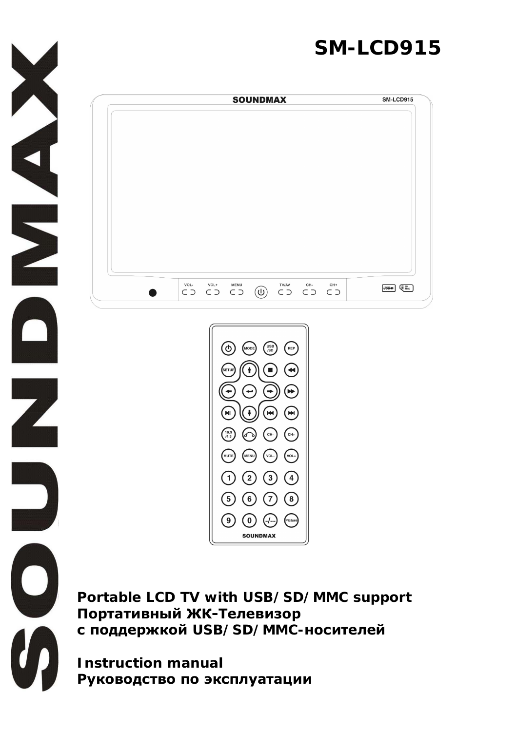# **SM-LCD9[15](http://www.abbyy.com/buy)**



**XHAN** 

Ζ

O



**Portable LCD TV with USB/SD/MMC support** Портативный ЖК-Телевизор  $$ 

**Instruction manual** Руководство по эксплуатации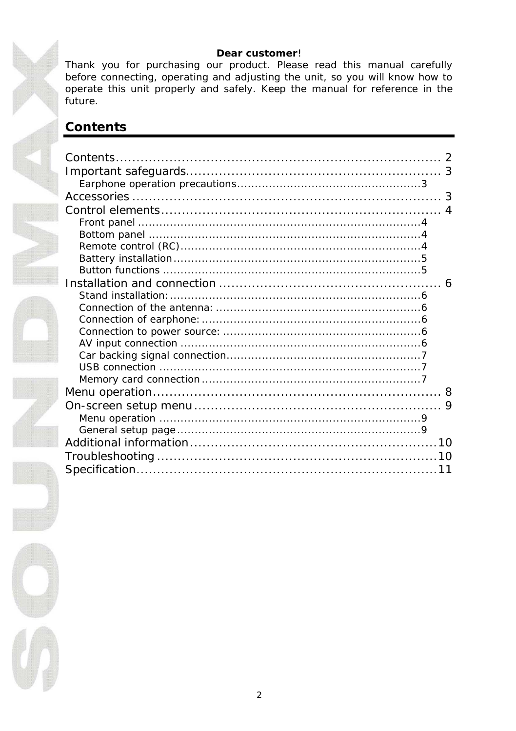#### Dear customer!

Thank you for purchasing our product. Please read this manual carefully before connecting, operating and adjusting the unit, so you will know how to operate this unit properly and safely. Keep the manual for reference in the future.

### Contents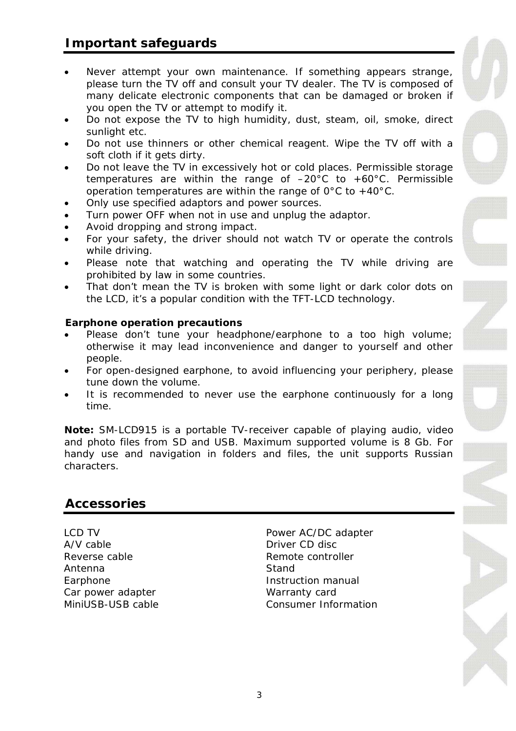- Never attempt your own maintenance. If something appears str[ange,](http://www.abbyy.com/buy) please turn the TV off and consult your TV dealer. The TV is composed of many delicate electronic components that can be damaged or broken if you open the TV or attempt to modify it.
- Do not expose the TV to high humidity, dust, steam, oil, smoke, direct sunlight etc.
- Do not use thinners or other chemical reagent. Wipe the TV off with a soft cloth if it gets dirty.
- Do not leave the TV in excessively hot or cold places. Permissible storage temperatures are within the range of  $-20^{\circ}$ C to  $+60^{\circ}$ C. Permissible operation temperatures are within the range of  $0^{\circ}$ C to +40°C.
- Only use specified adaptors and power sources.
- Turn power OFF when not in use and unplug the adaptor.
- Avoid dropping and strong impact.
- For your safety, the driver should not watch TV or operate the controls while driving.
- Please note that watching and operating the TV while driving are prohibited by law in some countries.
- That don't mean the TV is broken with some light or dark color dots on the LCD, it's a popular condition with the TFT-LCD technology.

**Earphone operation precautions**

- x Please don't tune your headphone/earphone to a too high volume; otherwise it may lead inconvenience and danger to yourself and other people.
- For open-designed earphone, to avoid influencing your periphery, please tune down the volume.
- It is recommended to never use the earphone continuously for a long time.

**Note:** SM-LCD915 is a portable TV-receiver capable of playing audio, video and photo files from SD and USB. Maximum supported volume is 8 Gb. For handy use and navigation in folders and files, the unit supports Russian characters.

### **Accessories**

Reverse cable **Remote** Controller Antenna Stand Earphone **Instruction manual** Car power adapter **Warranty card** 

LCD TV<br>
A/V cable<br>
A/V cable<br>
A/V cable Driver CD disc MiniUSB-USB cable Consumer Information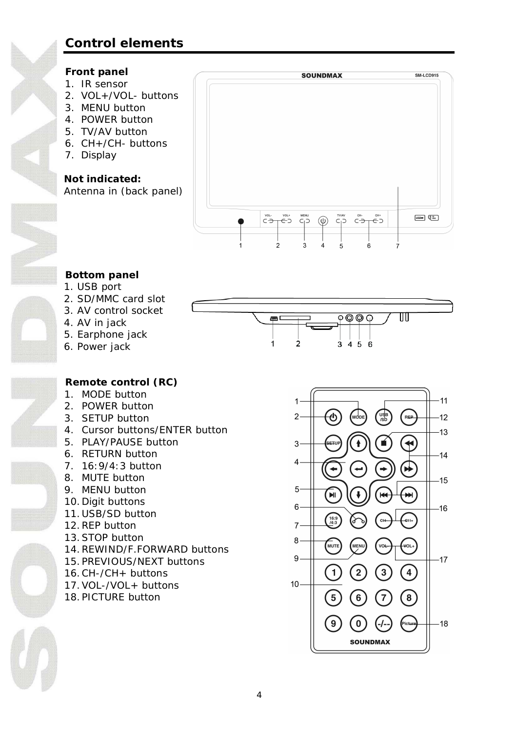### **[Con](http://www.abbyy.com/buy)trol elements**

### **Front panel**

- 1. IR sensor
- 2. VOL+/VOL- buttons
- 3. MENU button
- 4. POWER button
- 5. TV/AV button
- 6. CH+/CH- buttons
- 7. Display

**Not indicated:** Antenna in (back panel)



### **Bottom panel**

- 1. USB port
- 2. SD/MMC card slot
- 3. AV control socket
- 4. AV in jack
- 5. Earphone jack
- 6. Power jack

#### $\overline{\circ\circ\circ}$ ℼ ł ぅ  $3456$

**Remote control (RC)**

- 1. MODE button
- 2. POWER button
- 3. SETUP button
- 4. Cursor buttons/ENTER button
- 5. PLAY/PAUSE button
- 6. RETURN button
- 7. 16:9/4:3 button
- 8. MUTE button
- 9. MENU button
- 10.Digit buttons
- 11. USB/SD button
- 12.REP button
- 13.STOP button
- 14.REWIND/F.FORWARD buttons
- 15. PREVIOUS/NEXT buttons
- 16.CH-/CH+ buttons
- 17.VOL-/VOL+ buttons
- 18. PICTURE button

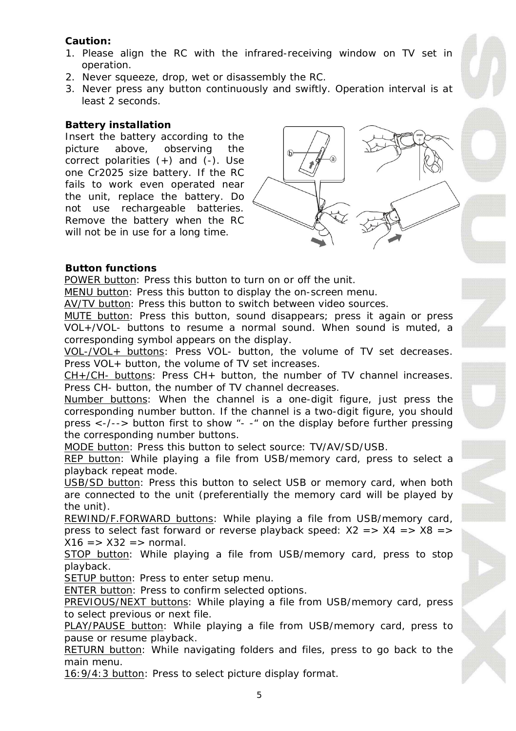**[Cauti](http://www.abbyy.com/buy)on:**

- 1. Please align the RC with the infrared-receiving window on TV [set in](http://www.abbyy.com/buy) operation.
- 2. Never squeeze, drop, wet or disassembly the RC.
- 3. Never press any button continuously and swiftly. Operation interval is at least 2 seconds.

#### **Battery installation**

Insert the battery according to the picture above, observing the correct polarities  $(+)$  and  $(-)$ . Use one Cr2025 size battery. If the RC fails to work even operated near the unit, replace the battery. Do not use rechargeable batteries. Remove the battery when the RC will not be in use for a long time.



#### **Button functions**

POWER button: Press this button to turn on or off the unit.

MENU button: Press this button to display the on-screen menu.

AV/TV button: Press this button to switch between video sources.

MUTE button: Press this button, sound disappears; press it again or press VOL+/VOL- buttons to resume a normal sound. When sound is muted, a corresponding symbol appears on the display.

VOL-/VOL+ buttons: Press VOL- button, the volume of TV set decreases. Press VOL+ button, the volume of TV set increases.

CH+/CH- buttons: Press CH+ button, the number of TV channel increases. Press CH- button, the number of TV channel decreases.

Number buttons: When the channel is a one-digit figure, just press the corresponding number button. If the channel is a two-digit figure, you should press <-/--> button first to show "- -" on the display before further pressing the corresponding number buttons.

MODE button: Press this button to select source: TV/AV/SD/USB.

REP button: While playing a file from USB/memory card, press to select a playback repeat mode.

USB/SD button: Press this button to select USB or memory card, when both are connected to the unit (preferentially the memory card will be played by the unit).

REWIND/F.FORWARD buttons: While playing a file from USB/memory card, press to select fast forward or reverse playback speed:  $X2 = > X4 = > X8 = >$  $X16 = > X32 = >$  normal.

STOP button: While playing a file from USB/memory card, press to stop playback.

SETUP button: Press to enter setup menu.

ENTER button: Press to confirm selected options.

PREVIOUS/NEXT buttons: While playing a file from USB/memory card, press to select previous or next file.

PLAY/PAUSE button: While playing a file from USB/memory card, press to pause or resume playback.

RETURN button: While navigating folders and files, press to go back to the main menu.

16:9/4:3 button: Press to select picture display format.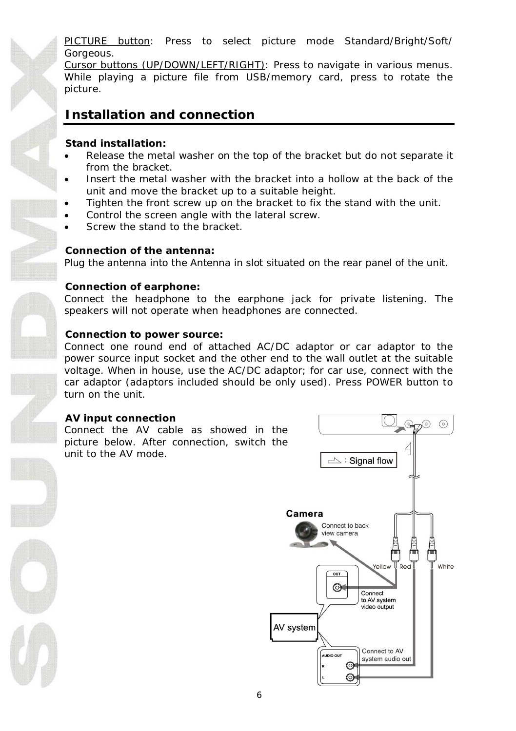PICTURE button: Press to select picture mode Standard/Bright/Soft/ Gorgeous.

[Curso](http://www.abbyy.com/buy)r buttons (UP/DOWN/LEFT/RIGHT): Press to navigate in various [menus.](http://www.abbyy.com/buy) While playing a picture file from USB/memory card, press to rotate the picture.

### **Installation and connection**

**Stand installation:**

- Release the metal washer on the top of the bracket but do not separate it from the bracket.
- x Insert the metal washer with the bracket into a hollow at the back of the unit and move the bracket up to a suitable height.
- Tighten the front screw up on the bracket to fix the stand with the unit.
- Control the screen angle with the lateral screw.
- Screw the stand to the bracket.

#### **Connection of the antenna:**

Plug the antenna into the Antenna in slot situated on the rear panel of the unit.

#### **Connection of earphone:**

Connect the headphone to the earphone jack for private listening. The speakers will not operate when headphones are connected.

#### **Connection to power source:**

Connect one round end of attached AC/DC adaptor or car adaptor to the power source input socket and the other end to the wall outlet at the suitable voltage. When in house, use the AC/DC adaptor; for car use, connect with the car adaptor (adaptors included should be only used). Press POWER button to turn on the unit.

#### **AV input connection**

Connect the AV cable as showed in the picture below. After connection, switch the unit to the AV mode.

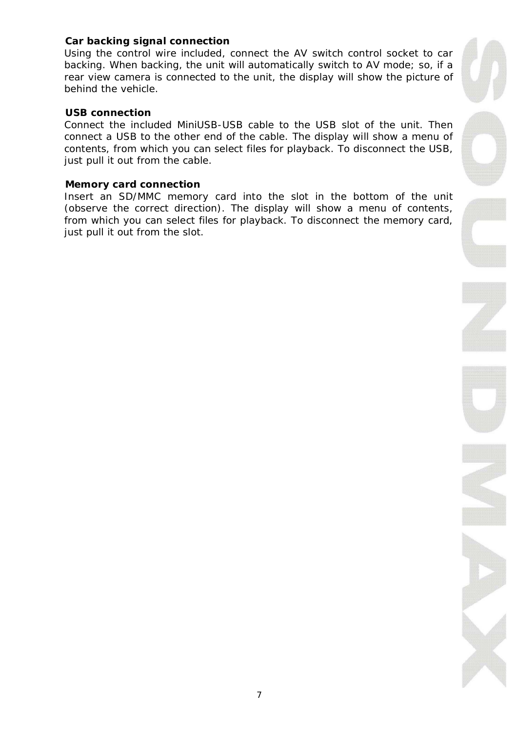#### **Car backing signal connection**

[Using](http://www.abbyy.com/buy) the control wire included, connect the AV switch control socket to car backing. When backing, the unit will automatically switch to AV mode; so, if a rear view camera is connected to the unit, the display will show the pict[ure of](http://www.abbyy.com/buy) behind the vehicle.

#### **USB connection**

Connect the included MiniUSB-USB cable to the USB slot of the unit. Then connect a USB to the other end of the cable. The display will show a menu of contents, from which you can select files for playback. To disconnect the USB, just pull it out from the cable.

#### **Memory card connection**

Insert an SD/MMC memory card into the slot in the bottom of the unit (observe the correct direction). The display will show a menu of contents, from which you can select files for playback. To disconnect the memory card, just pull it out from the slot.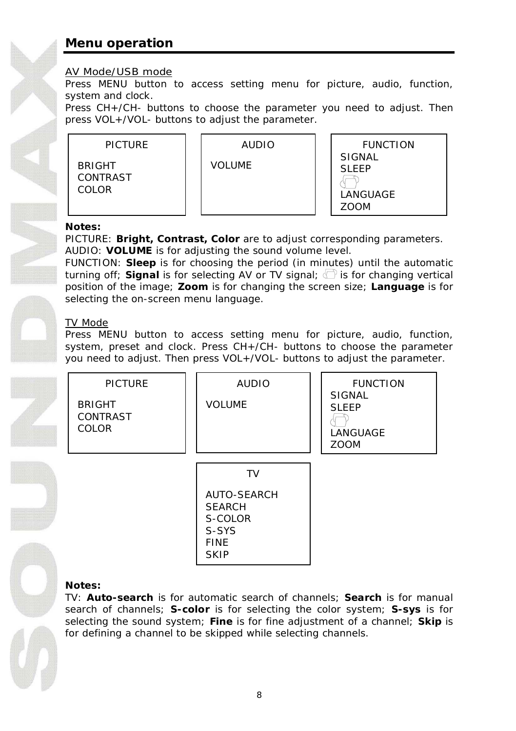### **[Men](http://www.abbyy.com/buy)u operation**

### AV Mode/USB mode

Press MENU button to access setting menu for picture, audio, fu[nction,](http://www.abbyy.com/buy) system and clock.

Press CH+/CH- buttons to choose the parameter you need to adjust. Then press VOL+/VOL- buttons to adjust the parameter.



**Notes:**

PICTURE: **Bright, Contrast, Color** are to adjust corresponding parameters. AUDIO: **VOLUME** is for adjusting the sound volume level.

FUNCTION: **Sleep** is for choosing the period (in minutes) until the automatic turning off: Signal is for selecting AV or TV signal:  $\langle \hat{\ } \rangle$  is for changing vertical position of the image; **Zoom** is for changing the screen size; **Language** is for selecting the on-screen menu language.

### TV Mode

Press MENU button to access setting menu for picture, audio, function, system, preset and clock. Press CH+/CH- buttons to choose the parameter you need to adjust. Then press VOL+/VOL- buttons to adjust the parameter.



TV: **Auto-search** is for automatic search of channels; **Search** is for manual search of channels; **S-color** is for selecting the color system; **S-sys** is for selecting the sound system; **Fine** is for fine adjustment of a channel; **Skip** is for defining a channel to be skipped while selecting channels.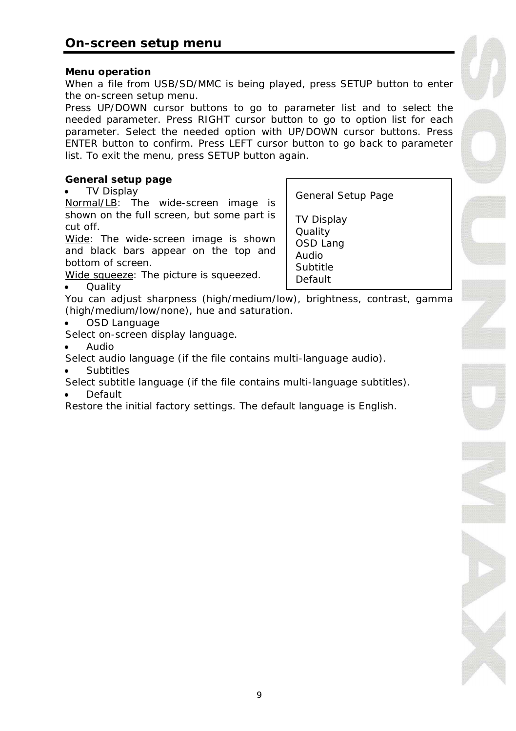**Menu operation**

When a file from USB/SD/MMC is being played, press SETUP button to [enter](http://www.abbyy.com/buy) the on-screen setup menu.

Press UP/DOWN cursor buttons to go to parameter list and to select the needed parameter. Press RIGHT cursor button to go to option list for each parameter. Select the needed option with UP/DOWN cursor buttons. Press ENTER button to confirm. Press LEFT cursor button to go back to parameter list. To exit the menu, press SETUP button again.

**General setup page**

**TV Display** 

Normal/LB: The wide-screen image is shown on the full screen, but some part is cut off.

Wide: The wide-screen image is shown and black bars appear on the top and bottom of screen.

General Setup Page

TV Display **Quality** OSD Lang Audio Subtitle Default

Wide squeeze: The picture is squeezed.

**Quality** 

You can adjust sharpness (high/medium/low), brightness, contrast, gamma (high/medium/low/none), hue and saturation.

OSD Language

Select on-screen display language.

x Audio

Select audio language (if the file contains multi-language audio).

**Subtitles** 

Select subtitle language (if the file contains multi-language subtitles).

**Default** 

Restore the initial factory settings. The default language is English.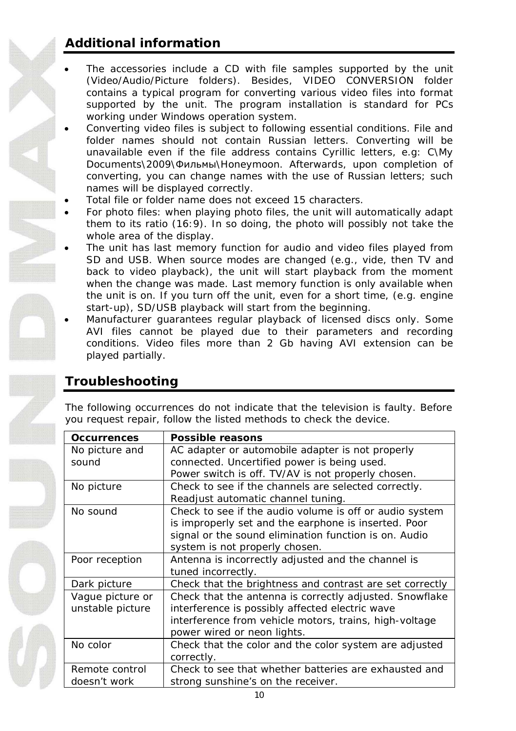## **[Add](http://www.abbyy.com/buy)itional information**

- The accessories include a CD with file samples supported by th[e unit](http://www.abbyy.com/buy) (Video/Audio/Picture folders). Besides, VIDEO CONVERSION folder contains a typical program for converting various video files into format supported by the unit. The program installation is standard for PCs working under Windows operation system.
- Converting video files is subject to following essential conditions. File and folder names should not contain Russian letters. Converting will be unavailable even if the file address contains Cyrillic letters, e.g: C\My Documents\2009\Фильмы\Honeymoon. Afterwards, upon completion of converting, you can change names with the use of Russian letters; such names will be displayed correctly.
- Total file or folder name does not exceed 15 characters.
- For photo files: when playing photo files, the unit will automatically adapt them to its ratio (16:9). In so doing, the photo will possibly not take the whole area of the display.
- The unit has last memory function for audio and video files played from SD and USB. When source modes are changed (e.g., vide, then TV and back to video playback), the unit will start playback from the moment when the change was made. Last memory function is only available when the unit is on. If you turn off the unit, even for a short time, (e.g. engine start-up), SD/USB playback will start from the beginning.
- x Manufacturer guarantees regular playback of licensed discs only. Some AVI files cannot be played due to their parameters and recording conditions. Video files more than 2 Gb having AVI extension can be played partially.

### **Troubleshooting**

The following occurrences do not indicate that the television is faulty. Before you request repair, follow the listed methods to check the device.

| Occurrences      | Possible reasons                                         |
|------------------|----------------------------------------------------------|
| No picture and   | AC adapter or automobile adapter is not properly         |
| sound            | connected. Uncertified power is being used.              |
|                  | Power switch is off. TV/AV is not properly chosen.       |
| No picture       | Check to see if the channels are selected correctly.     |
|                  | Readjust automatic channel tuning.                       |
| No sound         | Check to see if the audio volume is off or audio system  |
|                  | is improperly set and the earphone is inserted. Poor     |
|                  | signal or the sound elimination function is on. Audio    |
|                  | system is not properly chosen.                           |
| Poor reception   | Antenna is incorrectly adjusted and the channel is       |
|                  | tuned incorrectly.                                       |
| Dark picture     | Check that the brightness and contrast are set correctly |
| Vague picture or | Check that the antenna is correctly adjusted. Snowflake  |
| unstable picture | interference is possibly affected electric wave          |
|                  | interference from vehicle motors, trains, high-voltage   |
|                  | power wired or neon lights.                              |
| No color         | Check that the color and the color system are adjusted   |
|                  | correctly.                                               |
| Remote control   | Check to see that whether batteries are exhausted and    |
| doesn't work     | strong sunshine's on the receiver.                       |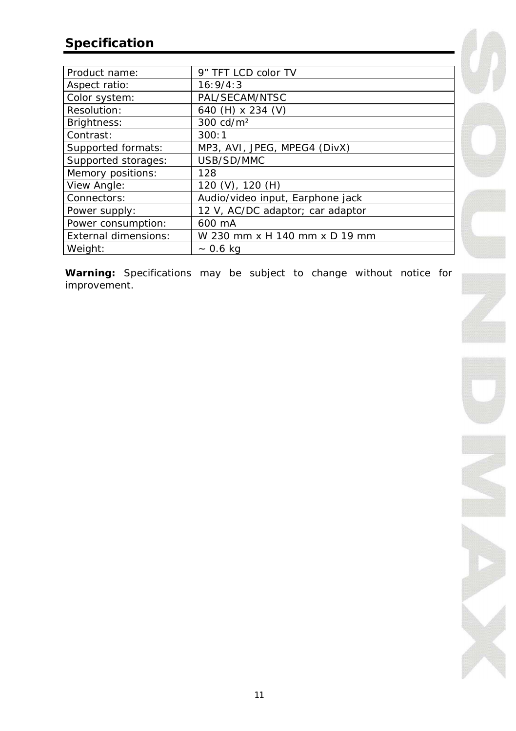### **[Spec](http://www.abbyy.com/buy)ification**

| Product name:        | 9" TFT LCD color TV              |
|----------------------|----------------------------------|
| Aspect ratio:        | 16:9/4:3                         |
| Color system:        | PAL/SECAM/NTSC                   |
| Resolution:          | 640 (H) x 234 (V)                |
| Brightness:          | 300 cd/m <sup>2</sup>            |
| Contrast:            | 300:1                            |
| Supported formats:   | MP3, AVI, JPEG, MPEG4 (DivX)     |
| Supported storages:  | USB/SD/MMC                       |
| Memory positions:    | 128                              |
| View Angle:          | 120 (V), 120 (H)                 |
| Connectors:          | Audio/video input, Earphone jack |
| Power supply:        | 12 V, AC/DC adaptor; car adaptor |
| Power consumption:   | 600 mA                           |
| External dimensions: | W 230 mm x H 140 mm x D 19 mm    |
| Weight:              | $~ 0.6 \text{ kg}$               |

**Warning:** Specifications may be subject to change without notice for improvement.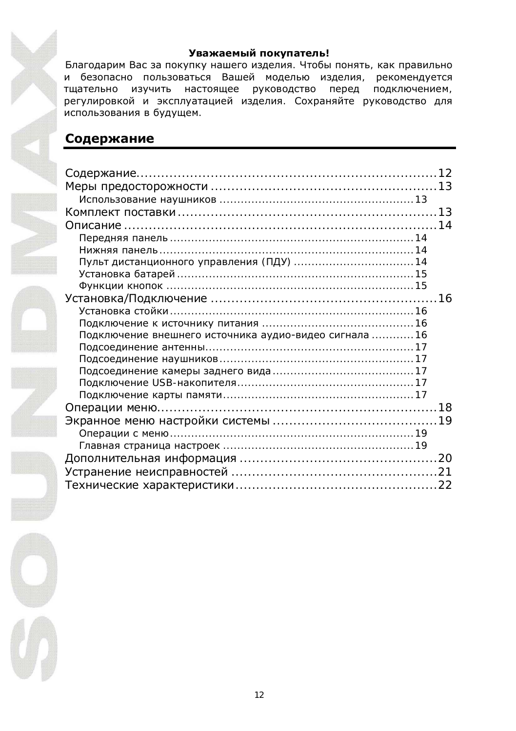#### Уважаемый покупатель!

Благодарим Вас за покупку нашего изделия. Чтобы понять, как правильно и безопасно пользоваться Вашей моделью изделия, рекомендуется тщательно изучить настоящее руководство перед подключением, регулировкой и эксплуатацией изделия. Сохраняйте руководство для использования в будущем.

### Содержание

| Подключение внешнего источника аудио-видео сигнала 16 |  |
|-------------------------------------------------------|--|
|                                                       |  |
|                                                       |  |
|                                                       |  |
|                                                       |  |
|                                                       |  |
|                                                       |  |
|                                                       |  |
|                                                       |  |
|                                                       |  |
|                                                       |  |
|                                                       |  |
|                                                       |  |
|                                                       |  |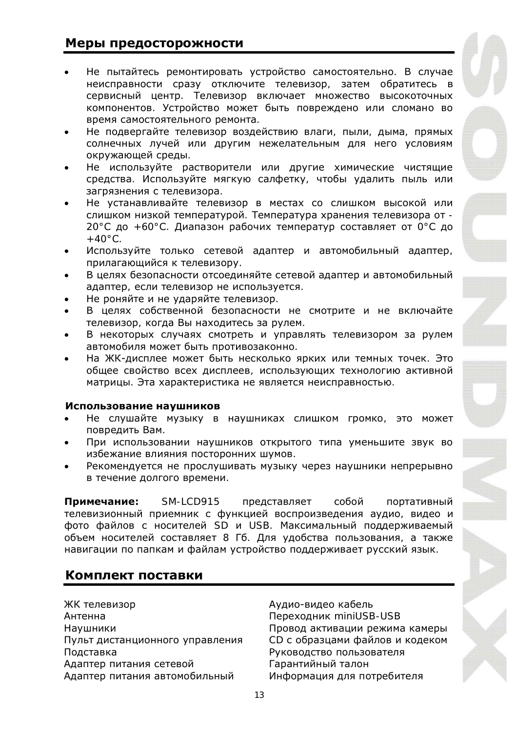### Меры предосторожности

- Не пытайтесь ремонтировать устройство самостоятельно. В случае неисправности сразу отключите телевизор, затем обратитесь в сервисный центр. Телевизор включает множество высокоточных компонентов. Устройство может быть повреждено или сломано во время самостоятельного ремонта.
- Не подвергайте телевизор воздействию влаги, пыли, дыма, прямых солнечных лучей или другим нежелательным для него условиям окружающей среды.
- Не используйте растворители или другие химические чистящие средства. Используйте мягкую салфетку, чтобы удалить пыль или загрязнения с телевизора.
- Не устанавливайте телевизор в местах со слишком высокой или слишком низкой температурой. Температура хранения телевизора от -20°С до +60°С. Диапазон рабочих температур составляет от 0°С до  $+40^\circ C$
- Используйте только сетевой адаптер и автомобильный адаптер, прилагающийся к телевизору.
- В целях безопасности отсоединяйте сетевой адаптер и автомобильный адаптер, если телевизор не используется.
- Не роняйте и не ударяйте телевизор.
- В целях собственной безопасности не смотрите и не включайте телевизор, когда Вы находитесь за рулем.
- В некоторых случаях смотреть и управлять телевизором за рулем автомобиля может быть противозаконно.
- На ЖК-дисплее может быть несколько ярких или темных точек. Это общее свойство всех дисплеев, использующих технологию активной матрицы. Эта характеристика не является неисправностью.

#### Использование наушников

- Не слушайте музыку в наушниках слишком громко, это может повредить Вам.
- При использовании наушников открытого типа уменьшите звук во избежание влияния посторонних шумов.
- Рекомендуется не прослушивать музыку через наушники непрерывно в течение долгого времени.

Примечание: SM-LCD915 представляет собой портативный Телевизионный приемник с функцией воспроизведения аудио, видео и фото файлов с носителей SD и USB. Максимальный поддерживаемый объем носителей составляет 8 Гб. Для удобства пользования, а также навигации по папкам и файлам устройство поддерживает русский язык.

### Комплект поставки

ЖК телевизор Марта и Аудио-видео кабель Aнтенна Переходник miniUSB-USB Подставка Руководство пользователя Адаптер питания сетевой Гарантийный талон Адаптер питания автомобильный Информация для потребителя

Наушники с солнатат Провод активации режима камеры Пульт дистанционного управления СД с образцами файлов и кодеком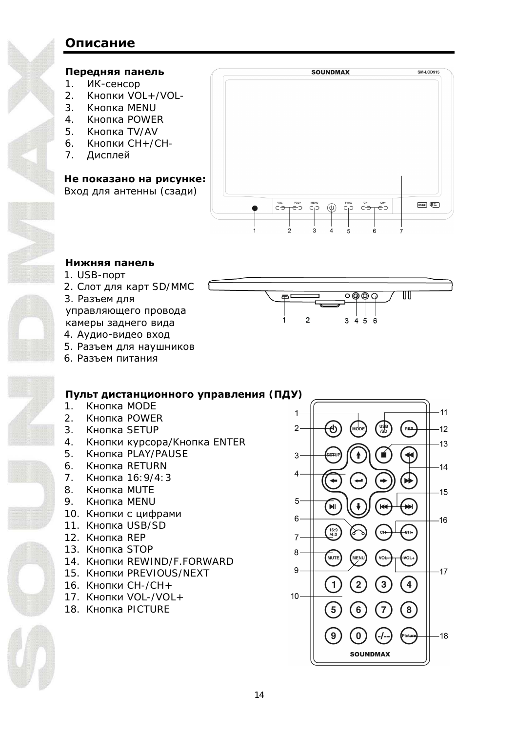### **Описание**

#### Передняя панель

- 1. ИК-сенсор
- $2$  KHONKH VOL + /VOL-
- 3. KHONKA MENU
- 4 KHOUKA POWER
- 5. KHONKA TV/AV
- 6. Кнопки CH+/CH-
- 7. Дисплей

#### Не показано на рисунке:

Вход для антенны (сзади)



 $\frac{1}{2}$ 

1

#### Нижняя панель

- 1. USB-nopt
- 2. Слот для карт SD/MMC
- 3. Разъем лля

управляющего провода камеры заднего вида

- 4. Аудио-видео вход
- 5. Разъем для наушников
- 6. Разъем питания

- Пульт дистанционного управления (ПДУ) 1. Кнопка MODE
- 2. KHONKA POWFR
- 3. KHONKA SETUP
- 4. Кнопки курсора/Кнопка ENTER
- 5. KHONKA PLAY/PAUSE
- 6. KHONKA RETURN
- 7. Кнопка 16:9/4:3
- 8. KHOUKA MUTE
- 9. KHONKA MENU
- 10. Кнопки с цифрами
- 11. Кнопка USB/SD
- 12. Кнопка REP
- 13. Кнопка STOP
- 14. KHONKU REWIND/F.FORWARD
- 15. KHONKU PREVIOUS/NEXT
- 16. Кнопки CH-/CH+
- 17.  $K$ нопки VOL-/VOL+
- 18. KHONKA PICTURE



 $\overline{\circ\circ\circ}$ 

 $3456$ 

 $\mathbb{U} \mathbb{U}$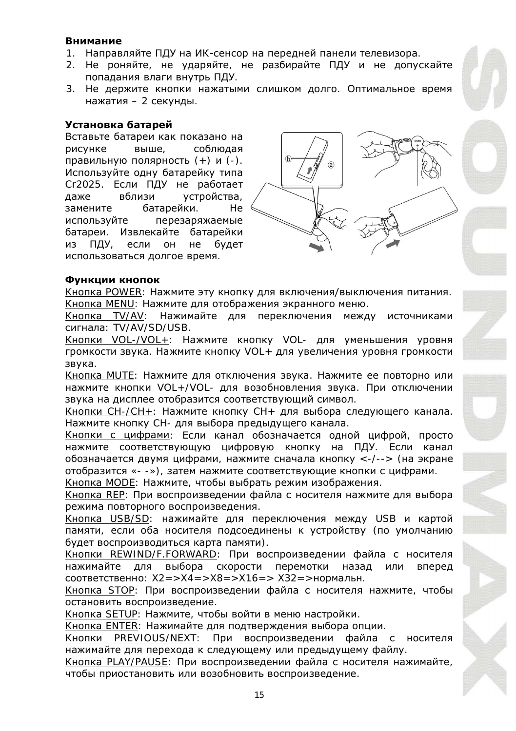#### Внимание

- 1. Направляйте ПДУ на ИК-сенсор на передней панели телевизора.
- 2. Не роняйте, не ударяйте, не разбирайте ПДУ и не допускайте попадания влаги внутрь ПДУ.
- 3. Не держите кнопки нажатыми слишком долго. Оптимальное время нажатия – 2 секунды.

#### **ǻșȚȈȕȖȊȒȈȉȈȚȈȘȍȑ**

Вставьте батареи как показано на рисунке выше, соблюдая правильную полярность  $(+)$  и  $(-)$ . Используйте одну батарейку типа Cr2025. Если ПДУ не работает даже вблизи устройства, замените батарейки. Не используйте перезаряжаемые батареи. Извлекайте батарейки из ПДУ, если он не будет использоваться долгое время.



#### **ФУНКЦИИ КНОПОК**

Кнопка POWER: Нажмите эту кнопку для включения/выключения питания. Kнопка MENU: Нажмите для отображения экранного меню.

Кнопка TV/AV: Нажимайте для переключения между источниками сигнала: TV/AV/SD/USB.

Кнопки VOL-/VOL+: Нажмите кнопку VOL- для уменьшения уровня громкости звука. Нажмите кнопку VOL+ для увеличения уровня громкости звука.

Кнопка MUTE: Нажмите для отключения звука. Нажмите ее повторно или НАЖМИТЕ КНОПКИ VOL+/VOL- ДЛЯ ВОЗОбНОВЛЕНИЯ ЗВУКА. ПРИ ОТКЛЮЧЕНИИ звука на дисплее отобразится соответствующий символ.

Кнопки СН-/СН+: Нажмите кнопку СН+ для выбора следующего канала. Нажмите кнопку СН- для выбора предыдущего канала.

Кнопки с цифрами: Если канал обозначается одной цифрой, просто нажмите соответствующую цифровую кнопку на ПДУ. Если канал обозначается двумя цифрами, нажмите сначала кнопку <-/--> (на экране отобразится «- -»), затем нажмите соответствующие кнопки с цифрами. Кнопка MODE: Нажмите, чтобы выбрать режим изображения.

Кнопка REP: При воспроизведении файла с носителя нажмите для выбора режима повторного воспроизведения.

Кнопка USB/SD: нажимайте для переключения между USB и картой памяти, если оба носителя подсоединены к устройству (по умолчанию будет воспроизводиться карта памяти).

Кнопки REWIND/F.FORWARD: При воспроизведении файла с носителя нажимайте для выбора скорости перемотки назад или вперед соответственно: X2=>X4=>X8=>X16=> X32=>нормальн.

Кнопка STOP: При воспроизведении файла с носителя нажмите, чтобы остановить воспроизведение.

Кнопка SETUP: Нажмите, чтобы войти в меню настройки.

Кнопка ENTER: Нажимайте для подтверждения выбора опции.

Кнопки PREVIOUS/NEXT: При воспроизведении файла с носителя нажимайте для перехода к следующему или предыдущему файлу.

Кнопка PLAY/PAUSE: При воспроизведении файла с носителя нажимайте. чтобы приостановить или возобновить воспроизведение.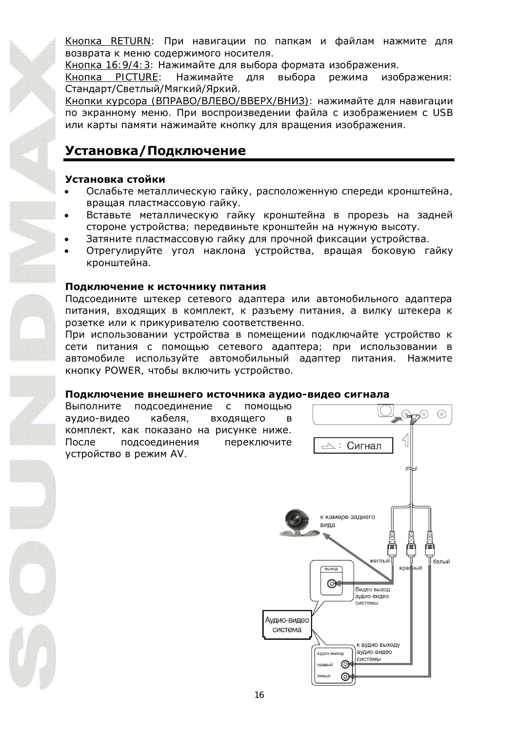KHODKA RETURN: При навигации по папкам и файлам нажмите для возврата к меню содержимого носителя.

Кнопка 16:9/4:3: Нажимайте для выбора формата изображения.

Кнопка PICTURE: Нажимайте для выбора режима изображения: Стандарт/Светлый/Мягкий/Яркий.

Кнопки курсора (ВПРАВО/ВЛЕВО/ВВЕРХ/ВНИЗ): нажимайте для навигации по экранному меню. При воспроизведении файла с изображением с USB или карты памяти нажимайте кнопку для вращения изображения.

### Установка / Подключение

#### Установка стойки

- Ослабьте металлическую гайку, расположенную спереди кронштейна, вращая пластмассовую гайку.
- Вставьте металлическую гайку кронштейна в прорезь на задней стороне устройства; передвиньте кронштейн на нужную высоту.
- Затяните пластмассовую гайку для прочной фиксации устройства.
- Отрегулируйте угол наклона устройства, вращая боковую гайку кронштейна.

#### Подключение к источнику питания

Подсоедините штекер сетевого адаптера или автомобильного адаптера ПИТАНИЯ, ВХОДЯЩИХ В КОМПЛЕКТ, К РАЗЪЕМУ ПИТАНИЯ, А ВИЛКУ ШТЕКЕРА К розетке или к прикуривателю соответственно.

При использовании устройства в помещении подключайте устройство к сети питания с помощью сетевого адаптера; при использовании в автомобиле используйте автомобильный адаптер питания. Нажмите КНОПКУ POWER, ЧТОбЫ ВКЛЮЧИТЬ УСТРОЙСТВО

#### Подключение внешнего источника аудио-видео сигнала

Выполните подсоединение с помощью аудио-видео кабеля, входящего комплект, как показано на рисунке ниже. После подсоединения переключите устройство в режим AV.

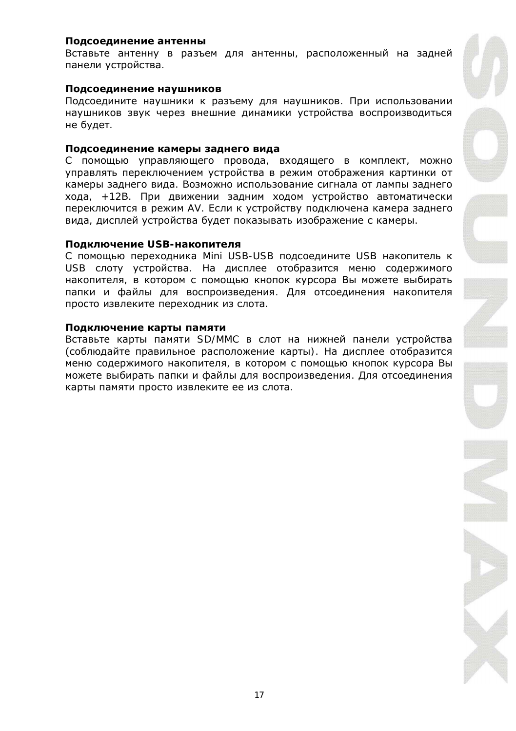#### Полсоелинение антенны

Вставьтеантенну в разъем для антенны, расположенный на задней панели устройства.

#### Подсоединение наушников

Подсоедините наушники к разъему для наушников. При использовании наушников звук через внешние динамики устройства воспроизводиться не будет.

#### Подсоединение камеры заднего вида

С помощью управляющего провода, входящего в комплект, можно управлять переключением устройства в режим отображения картинки от камеры заднего вида. Возможно использование сигнала от лампы заднего хода, +12В. При движении задним ходом устройство автоматически переключится в режим AV. Если к устройству подключена камера заднего вида, дисплей устройства будет показывать изображение с камеры.

#### Подключение USB-накопителя

С помощью переходника Mini USB-USB подсоедините USB накопитель к USB слоту устройства. На дисплее отобразится меню содержимого накопителя, в котором с помощью кнопок курсора Вы можете выбирать папки и файлы для воспроизведения. Для отсоединения накопителя просто извлеките переходник из слота.

#### Подключение карты памяти

Вставьте карты памяти SD/MMC в слот на нижней панели устройства (соблюдайте правильное расположение карты). На дисплее отобразится меню содержимого накопителя, в котором с помощью кнопок курсора Вы можете выбирать папки и файлы для воспроизведения. Для отсоединения карты памяти просто извлеките ее из слота.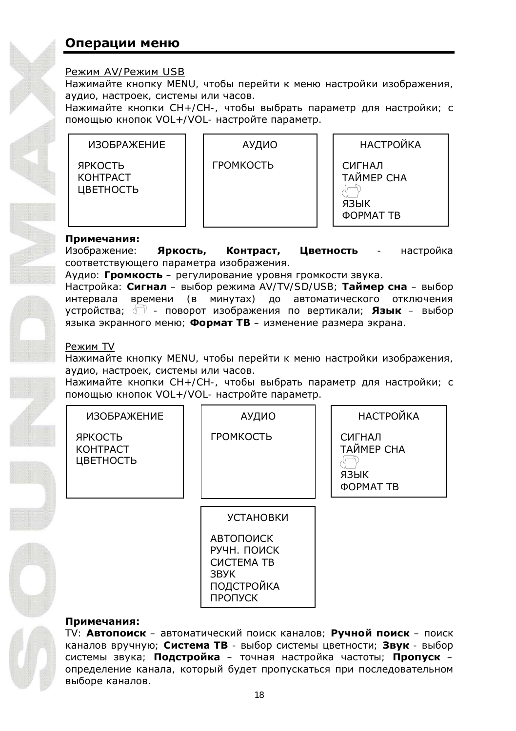### **Операции меню**

#### Режим AV/Режим USB

Нажимайте кнопку MENU, чтобы перейти к меню настройки изображения, аудио, настроек, системы или часов.

Нажимайте кнопки СН+/СН-, чтобы выбрать параметр для настройки; с помощью кнопок VOL+/VOL- настройте параметр.



#### Примечания:

Изображение: Яркость, Контраст, Цветность - настройка соответствующего параметра изображения.

Аудио: **Громкость** – регулирование уровня громкости звука.

Настройка: Сигнал – выбор режима AV/TV/SD/USB; Таймер сна – выбор интервала времени (в минутах) до автоматического отключения țșȚȘȖȑșȚȊȈ; - ȗȖȊȖȘȖȚ ȐȏȖȉȘȈȎȍȕȐȧ ȗȖ ȊȍȘȚȐȒȈȓȐ; **ȇȏȣȒ** – ȊȣȉȖȘ языка экранного меню; Формат ТВ – изменение размера экрана.

#### ǸȍȎȐȔ TV

Нажимайте кнопку MENU, чтобы перейти к меню настройки изображения, аудио, настроек, системы или часов.

Нажимайте кнопки СН+/СН-, чтобы выбрать параметр для настройки; с помощью кнопок VOL+/VOL- настройте парамето.

| ИЗОБРАЖЕНИЕ                             | АУДИО                                                                                 | <b>НАСТРОЙКА</b>                                 |
|-----------------------------------------|---------------------------------------------------------------------------------------|--------------------------------------------------|
| ЯРКОСТЬ<br><b>KOHTPACT</b><br>ЦВЕТНОСТЬ | ГРОМКОСТЬ                                                                             | СИГНАЛ<br>ТАЙМЕР СНА<br>ЯЗЫК<br><b>OOPMAT TB</b> |
|                                         | <b>УСТАНОВКИ</b>                                                                      |                                                  |
|                                         | <b>АВТОПОИСК</b><br>РУЧН. ПОИСК<br><b>CUCTEMA TB</b><br>3BYK<br>ПОДСТРОЙКА<br>ПРОПУСК |                                                  |
| Примечания:                             |                                                                                       |                                                  |

TV: Автопоиск – автоматический поиск каналов; Ручной поиск – поиск каналов вручную; Система ТВ - выбор системы цветности; Звук - выбор системы звука; **Подстройка** – точная настройка частоты; **Пропуск** – определение канала, который будет пропускаться при последовательном выборе каналов.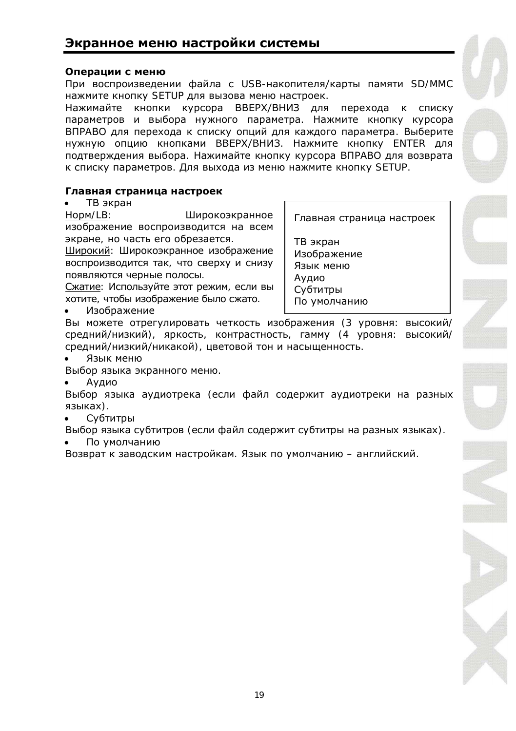### **Экранное меню настройки системы**

#### Операции с меню

При воспроизведении файла с USB-накопителя/карты памяти SD[/MMC](http://www.abbyy.com/buy) нажмите кнопку SETUP для вызова меню настроек.

Нажимайте кнопки курсора ВВЕРХ/ВНИЗ для перехода к списку параметров и выбора нужного параметра. Нажмите кнопку курсора ВПРАВО для перехода к списку опций для каждого параметра. Выберите нужную опцию кнопками ВВЕРХ/ВНИЗ. Нажмите кнопку ENTER для подтверждения выбора. Нажимайте кнопку курсора ВПРАВО для возврата к списку параметров. Для выхода из меню нажмите кнопку SETUP.

#### Главная страница настроек

• ТВ экран

Норм/LB: Широкоэкранное изображение воспроизводится на всем экране, но часть его обрезается.

Широкий: Широкоэкранное изображение воспроизводится так, что сверху и снизу появляются черные полосы.

Сжатие: Используйте этот режим, если вы хотите, чтобы изображение было сжато.

Изображение

Главная страница настроек

ТВ экран Изображение Язык меню Аудио Субтитры По умолчанию

Вы можете отрегулировать четкость изображения (3 уровня: высокий/ средний/низкий), яркость, контрастность, гамму (4 уровня: высокий/ средний/низкий/никакой), цветовой тон и насыщенность.

Язык меню

Выбор языка экранного меню.

Aудио

Выбор языка аудиотрека (если файл содержит аудиотреки на разных языках).

Субтитры

Выбор языка субтитров (если файл содержит субтитры на разных языках).

По умолчанию

Возврат к заводским настройкам. Язык по умолчанию – английский.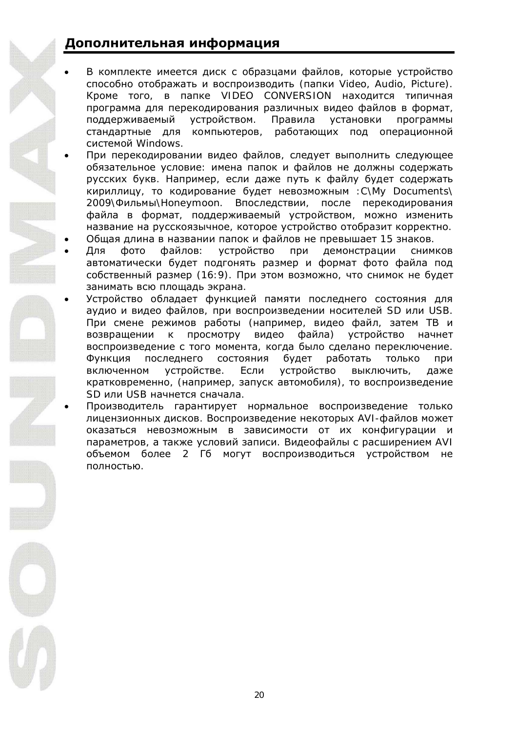### Дополнительная информация

- В комплекте имеется диск с образцами файлов, которые устройство способно отображать и воспроизводить (папки Video, Audio, Pic[ture\).](http://www.abbyy.com/buy) Кроме того, в папке VIDEO CONVERSION находится типичная программа для перекодирования различных видео файлов в формат, поддерживаемый устройством. Правила установки программы стандартные для компьютеров, работающих под операционной системой Windows.
- При перекодировании видео файлов, следует выполнить следующее обязательное условие: имена папок и файлов не должны содержать русских букв. Например, если даже путь к файлу будет содержать кириллицу, то кодирование будет невозможным :C\My Documents\ 2009\Фильмы\Honeymoon. Впоследствии, после перекодирования файла в формат, поддерживаемый устройством, можно изменить название на русскоязычное, которое устройство отобразит корректно.
- Общая длина в названии папок и файлов не превышает 15 знаков.
- Для фото файлов: устройство при демонстрации снимков автоматически будет подгонять размер и формат фото файла под собственный размер (16:9). При этом возможно, что снимок не будет занимать всю плошадь экрана.
- Устройство обладает функцией памяти последнего состояния для аудио и видео файлов, при воспроизведении носителей SD или USB. При смене режимов работы (например, видео файл, затем ТВ и возвращении к просмотру видео файла) устройство начнет воспроизведение с того момента, когда было сделано переключение. Функция последнего состояния будет работать только при включенном устройстве. Если устройство выключить даже кратковременно, (например, запуск автомобиля), то воспроизведение SD или USB начнется сначала.
- Производитель гарантирует нормальное воспроизведение только лицензионных дисков. Воспроизведение некоторых AVI-файлов может ОКАЗАТЬСЯ НЕВОЗМОЖНЫМ В ЗАВИСИМОСТИ ОТ ИХ КОНФИГУРАЦИИ И параметров, а также условий записи. Видеофайлы с расширением AVI объемом более 2 Гб могут воспроизводиться устройством не полностью.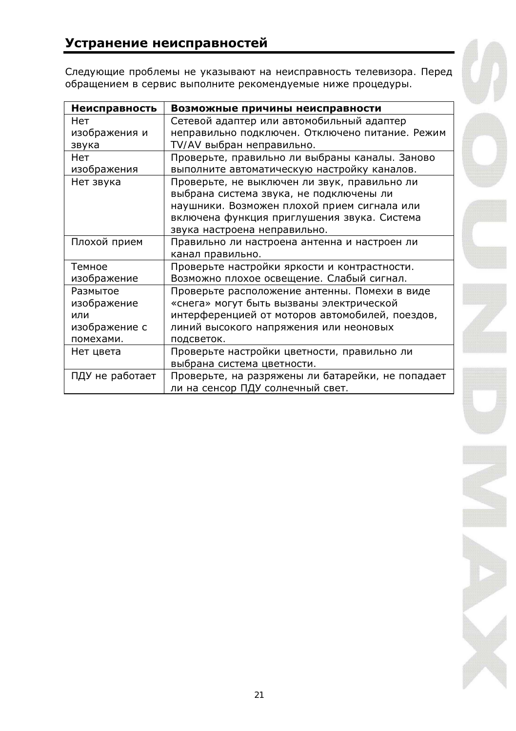### Устранение неисправностей

Следующие проблемы не указывают на неисправность телевизора. Перед обращением в сервис выполните рекомендуемые ниже процедуры.

| Неисправность   | Возможные причины неисправности                   |
|-----------------|---------------------------------------------------|
| Нет             | Сетевой адаптер или автомобильный адаптер         |
| изображения и   | неправильно подключен. Отключено питание. Режим   |
| звука           | TV/AV выбран неправильно.                         |
| Нет             | Проверьте, правильно ли выбраны каналы. Заново    |
| изображения     | выполните автоматическую настройку каналов.       |
| Нет звука       | Проверьте, не выключен ли звук, правильно ли      |
|                 | выбрана система звука, не подключены ли           |
|                 | наушники. Возможен плохой прием сигнала или       |
|                 | включена функция приглушения звука. Система       |
|                 | звука настроена неправильно.                      |
| Плохой прием    | Правильно ли настроена антенна и настроен ли      |
|                 | канал правильно.                                  |
| Темное          | Проверьте настройки яркости и контрастности.      |
| изображение     | Возможно плохое освещение. Слабый сигнал.         |
| Размытое        | Проверьте расположение антенны. Помехи в виде     |
| изображение     | «снега» могут быть вызваны электрической          |
| или             | интерференцией от моторов автомобилей, поездов,   |
| изображение с   | линий высокого напряжения или неоновых            |
| помехами.       | подсветок.                                        |
| Нет цвета       | Проверьте настройки цветности, правильно ли       |
|                 | выбрана система цветности.                        |
| ПДУ не работает | Проверьте, на разряжены ли батарейки, не попадает |
|                 | ли на сенсор ПДУ солнечный свет.                  |